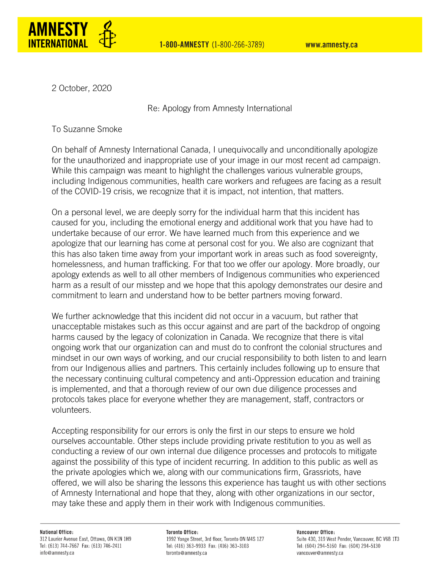

2 October, 2020

Re: Apology from Amnesty International

To Suzanne Smoke

On behalf of Amnesty International Canada, I unequivocally and unconditionally apologize for the unauthorized and inappropriate use of your image in our most recent ad campaign. While this campaign was meant to highlight the challenges various vulnerable groups, including Indigenous communities, health care workers and refugees are facing as a result of the COVID-19 crisis, we recognize that it is impact, not intention, that matters.

On a personal level, we are deeply sorry for the individual harm that this incident has caused for you, including the emotional energy and additional work that you have had to undertake because of our error. We have learned much from this experience and we apologize that our learning has come at personal cost for you. We also are cognizant that this has also taken time away from your important work in areas such as food sovereignty, homelessness, and human trafficking. For that too we offer our apology. More broadly, our apology extends as well to all other members of Indigenous communities who experienced harm as a result of our misstep and we hope that this apology demonstrates our desire and commitment to learn and understand how to be better partners moving forward.

We further acknowledge that this incident did not occur in a vacuum, but rather that unacceptable mistakes such as this occur against and are part of the backdrop of ongoing harms caused by the legacy of colonization in Canada. We recognize that there is vital ongoing work that our organization can and must do to confront the colonial structures and mindset in our own ways of working, and our crucial responsibility to both listen to and learn from our Indigenous allies and partners. This certainly includes following up to ensure that the necessary continuing cultural competency and anti-Oppression education and training is implemented, and that a thorough review of our own due diligence processes and protocols takes place for everyone whether they are management, staff, contractors or volunteers.

Accepting responsibility for our errors is only the first in our steps to ensure we hold ourselves accountable. Other steps include providing private restitution to you as well as conducting a review of our own internal due diligence processes and protocols to mitigate against the possibility of this type of incident recurring. In addition to this public as well as the private apologies which we, along with our communications firm, Grassriots, have offered, we will also be sharing the lessons this experience has taught us with other sections of Amnesty International and hope that they, along with other organizations in our sector, may take these and apply them in their work with Indigenous communities.

## **National Office:**

312 Laurier Avenue East, Ottawa, ON K1N 1H9 Tel: (613) 744-7667 Fax: (613) 746-2411 info@amnesty.ca

**Toronto Office:** 1992 Yonge Street, 3rd floor, Toronto ON M4S 1Z7 Tel: (416) 363-9933 Fax: (416) 363-3103 toronto@amnesty.ca

Vancouver Office: Suite 430, 319 West Pender, Vancouver, BC V6B 1T3 Tel: (604) 294-5160 Fax: (604) 294-5130 vancouver@amnesty.ca